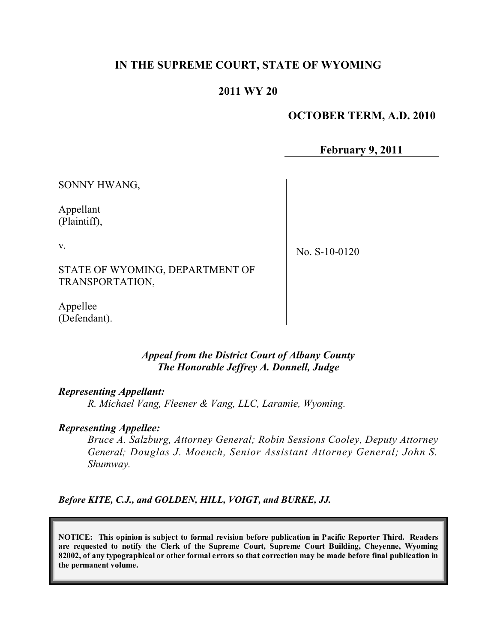# **IN THE SUPREME COURT, STATE OF WYOMING**

# **2011 WY 20**

### **OCTOBER TERM, A.D. 2010**

**February 9, 2011**

SONNY HWANG,

Appellant (Plaintiff),

v.

No. S-10-0120

STATE OF WYOMING, DEPARTMENT OF TRANSPORTATION,

Appellee (Defendant).

### *Appeal from the District Court of Albany County The Honorable Jeffrey A. Donnell, Judge*

#### *Representing Appellant:*

*R. Michael Vang, Fleener & Vang, LLC, Laramie, Wyoming.*

#### *Representing Appellee:*

*Bruce A. Salzburg, Attorney General; Robin Sessions Cooley, Deputy Attorney General; Douglas J. Moench, Senior Assistant Attorney General; John S. Shumway.*

*Before KITE, C.J., and GOLDEN, HILL, VOIGT, and BURKE, JJ.*

**NOTICE: This opinion is subject to formal revision before publication in Pacific Reporter Third. Readers are requested to notify the Clerk of the Supreme Court, Supreme Court Building, Cheyenne, Wyoming** 82002, of any typographical or other formal errors so that correction may be made before final publication in **the permanent volume.**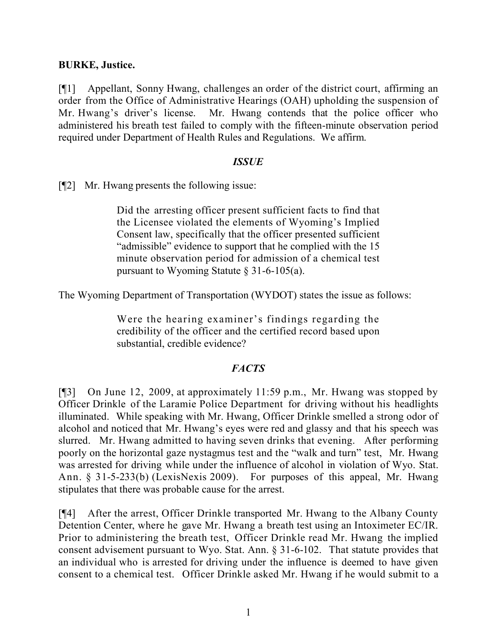## **BURKE, Justice.**

[¶1] Appellant, Sonny Hwang, challenges an order of the district court, affirming an order from the Office of Administrative Hearings (OAH) upholding the suspension of Mr. Hwang's driver's license. Mr. Hwang contends that the police officer who administered his breath test failed to comply with the fifteen-minute observation period required under Department of Health Rules and Regulations. We affirm.

### *ISSUE*

[¶2] Mr. Hwang presents the following issue:

Did the arresting officer present sufficient facts to find that the Licensee violated the elements of Wyoming's Implied Consent law, specifically that the officer presented sufficient "admissible" evidence to support that he complied with the 15 minute observation period for admission of a chemical test pursuant to Wyoming Statute § 31-6-105(a).

The Wyoming Department of Transportation (WYDOT) states the issue as follows:

Were the hearing examiner's findings regarding the credibility of the officer and the certified record based upon substantial, credible evidence?

# *FACTS*

[¶3] On June 12, 2009, at approximately 11:59 p.m., Mr. Hwang was stopped by Officer Drinkle of the Laramie Police Department for driving without his headlights illuminated. While speaking with Mr. Hwang, Officer Drinkle smelled a strong odor of alcohol and noticed that Mr. Hwang's eyes were red and glassy and that his speech was slurred. Mr. Hwang admitted to having seven drinks that evening. After performing poorly on the horizontal gaze nystagmus test and the "walk and turn" test, Mr. Hwang was arrested for driving while under the influence of alcohol in violation of Wyo. Stat. Ann. § 31-5-233(b) (LexisNexis 2009). For purposes of this appeal, Mr. Hwang stipulates that there was probable cause for the arrest.

[¶4] After the arrest, Officer Drinkle transported Mr. Hwang to the Albany County Detention Center, where he gave Mr. Hwang a breath test using an Intoximeter EC/IR. Prior to administering the breath test, Officer Drinkle read Mr. Hwang the implied consent advisement pursuant to Wyo. Stat. Ann. § 31-6-102. That statute provides that an individual who is arrested for driving under the influence is deemed to have given consent to a chemical test. Officer Drinkle asked Mr. Hwang if he would submit to a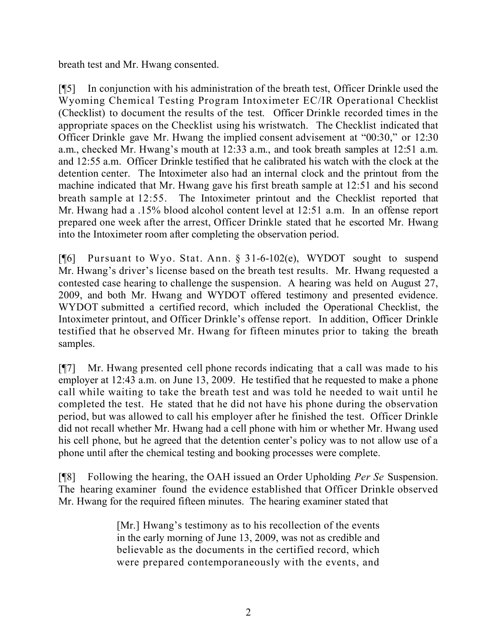breath test and Mr. Hwang consented.

[¶5] In conjunction with his administration of the breath test, Officer Drinkle used the Wyoming Chemical Testing Program Intoximeter EC/IR Operational Checklist (Checklist) to document the results of the test. Officer Drinkle recorded times in the appropriate spaces on the Checklist using his wristwatch. The Checklist indicated that Officer Drinkle gave Mr. Hwang the implied consent advisement at "00:30," or 12:30 a.m., checked Mr. Hwang's mouth at 12:33 a.m., and took breath samples at 12:51 a.m. and 12:55 a.m. Officer Drinkle testified that he calibrated his watch with the clock at the detention center. The Intoximeter also had an internal clock and the printout from the machine indicated that Mr. Hwang gave his first breath sample at 12:51 and his second breath sample at 12:55. The Intoximeter printout and the Checklist reported that Mr. Hwang had a .15% blood alcohol content level at 12:51 a.m. In an offense report prepared one week after the arrest, Officer Drinkle stated that he escorted Mr. Hwang into the Intoximeter room after completing the observation period.

[¶6] Pursuant to Wyo. Stat. Ann. § 31-6-102(e), WYDOT sought to suspend Mr. Hwang's driver's license based on the breath test results. Mr. Hwang requested a contested case hearing to challenge the suspension. A hearing was held on August 27, 2009, and both Mr. Hwang and WYDOT offered testimony and presented evidence. WYDOT submitted a certified record, which included the Operational Checklist, the Intoximeter printout, and Officer Drinkle's offense report. In addition, Officer Drinkle testified that he observed Mr. Hwang for fifteen minutes prior to taking the breath samples.

[¶7] Mr. Hwang presented cell phone records indicating that a call was made to his employer at 12:43 a.m. on June 13, 2009. He testified that he requested to make a phone call while waiting to take the breath test and was told he needed to wait until he completed the test. He stated that he did not have his phone during the observation period, but was allowed to call his employer after he finished the test. Officer Drinkle did not recall whether Mr. Hwang had a cell phone with him or whether Mr. Hwang used his cell phone, but he agreed that the detention center's policy was to not allow use of a phone until after the chemical testing and booking processes were complete.

[¶8] Following the hearing, the OAH issued an Order Upholding *Per Se* Suspension. The hearing examiner found the evidence established that Officer Drinkle observed Mr. Hwang for the required fifteen minutes. The hearing examiner stated that

> [Mr.] Hwang's testimony as to his recollection of the events in the early morning of June 13, 2009, was not as credible and believable as the documents in the certified record, which were prepared contemporaneously with the events, and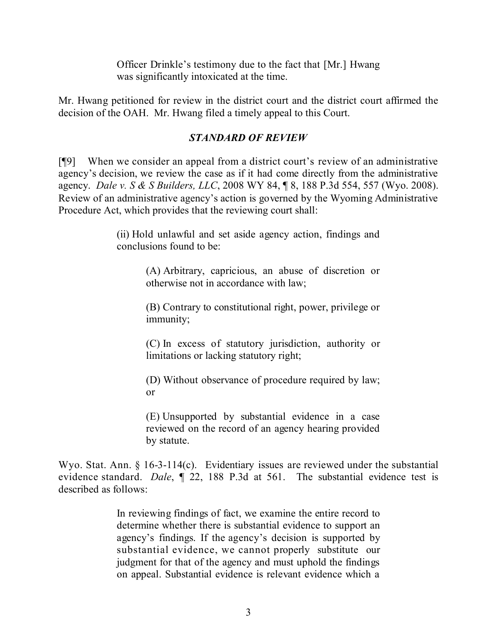Officer Drinkle's testimony due to the fact that [Mr.] Hwang was significantly intoxicated at the time.

Mr. Hwang petitioned for review in the district court and the district court affirmed the decision of the OAH. Mr. Hwang filed a timely appeal to this Court.

# *STANDARD OF REVIEW*

[¶9] When we consider an appeal from a district court's review of an administrative agency's decision, we review the case as if it had come directly from the administrative agency. *Dale v. S & S Builders, LLC*, 2008 WY 84, ¶ 8, 188 P.3d 554, 557 (Wyo. 2008). Review of an administrative agency's action is governed by the Wyoming Administrative Procedure Act, which provides that the reviewing court shall:

> (ii) Hold unlawful and set aside agency action, findings and conclusions found to be:

> > (A) Arbitrary, capricious, an abuse of discretion or otherwise not in accordance with law;

> > (B) Contrary to constitutional right, power, privilege or immunity;

> > (C) In excess of statutory jurisdiction, authority or limitations or lacking statutory right;

> > (D) Without observance of procedure required by law; or

> > (E) Unsupported by substantial evidence in a case reviewed on the record of an agency hearing provided by statute.

Wyo. Stat. Ann. § 16-3-114(c). Evidentiary issues are reviewed under the substantial evidence standard. *Dale*, ¶ 22, 188 P.3d at 561. The substantial evidence test is described as follows:

> In reviewing findings of fact, we examine the entire record to determine whether there is substantial evidence to support an agency's findings. If the agency's decision is supported by substantial evidence, we cannot properly substitute our judgment for that of the agency and must uphold the findings on appeal. Substantial evidence is relevant evidence which a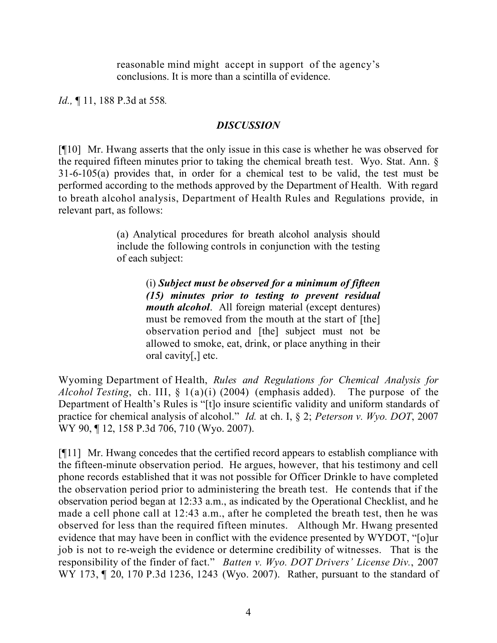reasonable mind might accept in support of the agency's conclusions. It is more than a scintilla of evidence.

*Id.,* ¶ 11, 188 P.3d at 558*.*

## *DISCUSSION*

[¶10] Mr. Hwang asserts that the only issue in this case is whether he was observed for the required fifteen minutes prior to taking the chemical breath test. Wyo. Stat. Ann. § 31-6-105(a) provides that, in order for a chemical test to be valid, the test must be performed according to the methods approved by the Department of Health. With regard to breath alcohol analysis, Department of Health Rules and Regulations provide, in relevant part, as follows:

> (a) Analytical procedures for breath alcohol analysis should include the following controls in conjunction with the testing of each subject:

> > (i) *Subject must be observed for a minimum of fifteen (15) minutes prior to testing to prevent residual mouth alcohol*. All foreign material (except dentures) must be removed from the mouth at the start of [the] observation period and [the] subject must not be allowed to smoke, eat, drink, or place anything in their oral cavity[,] etc.

Wyoming Department of Health, *Rules and Regulations for Chemical Analysis for Alcohol Testing*, ch. III, § 1(a)(i) (2004) (emphasis added). The purpose of the Department of Health's Rules is "[t]o insure scientific validity and uniform standards of practice for chemical analysis of alcohol." *Id.* at ch. I, § 2; *Peterson v. Wyo. DOT*, 2007 WY 90, ¶ 12, 158 P.3d 706, 710 (Wyo. 2007).

[¶11] Mr. Hwang concedes that the certified record appears to establish compliance with the fifteen-minute observation period. He argues, however, that his testimony and cell phone records established that it was not possible for Officer Drinkle to have completed the observation period prior to administering the breath test. He contends that if the observation period began at 12:33 a.m., as indicated by the Operational Checklist, and he made a cell phone call at 12:43 a.m., after he completed the breath test, then he was observed for less than the required fifteen minutes. Although Mr. Hwang presented evidence that may have been in conflict with the evidence presented by WYDOT, "[o]ur job is not to re-weigh the evidence or determine credibility of witnesses. That is the responsibility of the finder of fact." *Batten v. Wyo. DOT Drivers' License Div.*, 2007 WY 173, 120, 170 P.3d 1236, 1243 (Wyo. 2007). Rather, pursuant to the standard of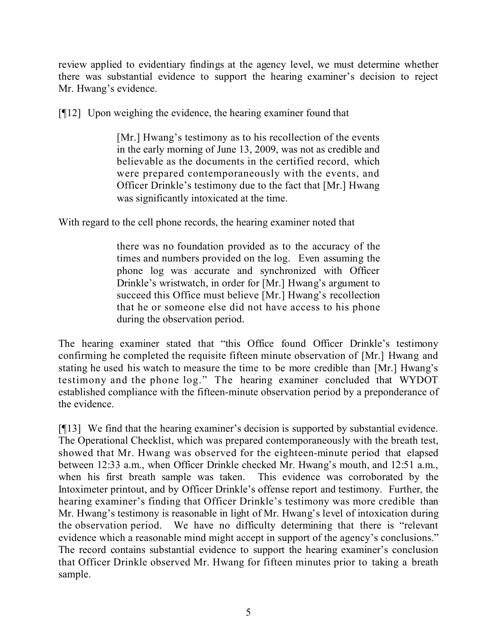review applied to evidentiary findings at the agency level, we must determine whether there was substantial evidence to support the hearing examiner's decision to reject Mr. Hwang's evidence.

[¶12] Upon weighing the evidence, the hearing examiner found that

[Mr.] Hwang's testimony as to his recollection of the events in the early morning of June 13, 2009, was not as credible and believable as the documents in the certified record, which were prepared contemporaneously with the events, and Officer Drinkle's testimony due to the fact that [Mr.] Hwang was significantly intoxicated at the time.

With regard to the cell phone records, the hearing examiner noted that

there was no foundation provided as to the accuracy of the times and numbers provided on the log. Even assuming the phone log was accurate and synchronized with Officer Drinkle's wristwatch, in order for [Mr.] Hwang's argument to succeed this Office must believe [Mr.] Hwang's recollection that he or someone else did not have access to his phone during the observation period.

The hearing examiner stated that "this Office found Officer Drinkle's testimony confirming he completed the requisite fifteen minute observation of [Mr.] Hwang and stating he used his watch to measure the time to be more credible than [Mr.] Hwang's testimony and the phone log." The hearing examiner concluded that WYDOT established compliance with the fifteen-minute observation period by a preponderance of the evidence.

[¶13] We find that the hearing examiner's decision is supported by substantial evidence. The Operational Checklist, which was prepared contemporaneously with the breath test, showed that Mr. Hwang was observed for the eighteen-minute period that elapsed between 12:33 a.m., when Officer Drinkle checked Mr. Hwang's mouth, and 12:51 a.m., when his first breath sample was taken. This evidence was corroborated by the Intoximeter printout, and by Officer Drinkle's offense report and testimony. Further, the hearing examiner's finding that Officer Drinkle's testimony was more credible than Mr. Hwang's testimony is reasonable in light of Mr. Hwang's level of intoxication during the observation period. We have no difficulty determining that there is "relevant evidence which a reasonable mind might accept in support of the agency's conclusions." The record contains substantial evidence to support the hearing examiner's conclusion that Officer Drinkle observed Mr. Hwang for fifteen minutes prior to taking a breath sample.